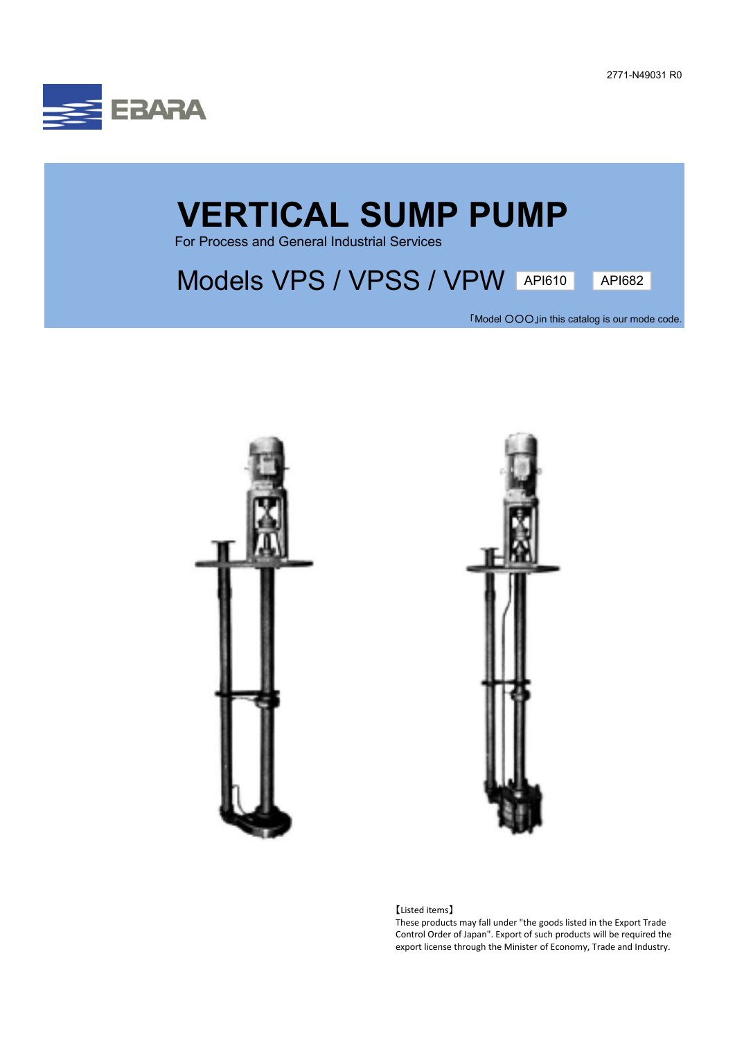2771-N49031 R0



## **VERTICAL SUMP PUMP**

For Process and General Industrial Services

## Models VPS / VPSS / VPW API610 API682

「Model ○○○」in this catalog is our mode code.





【Listed items】

These products may fall under "the goods listed in the Export Trade Control Order of Japan". Export of such products will be required the export license through the Minister of Economy, Trade and Industry.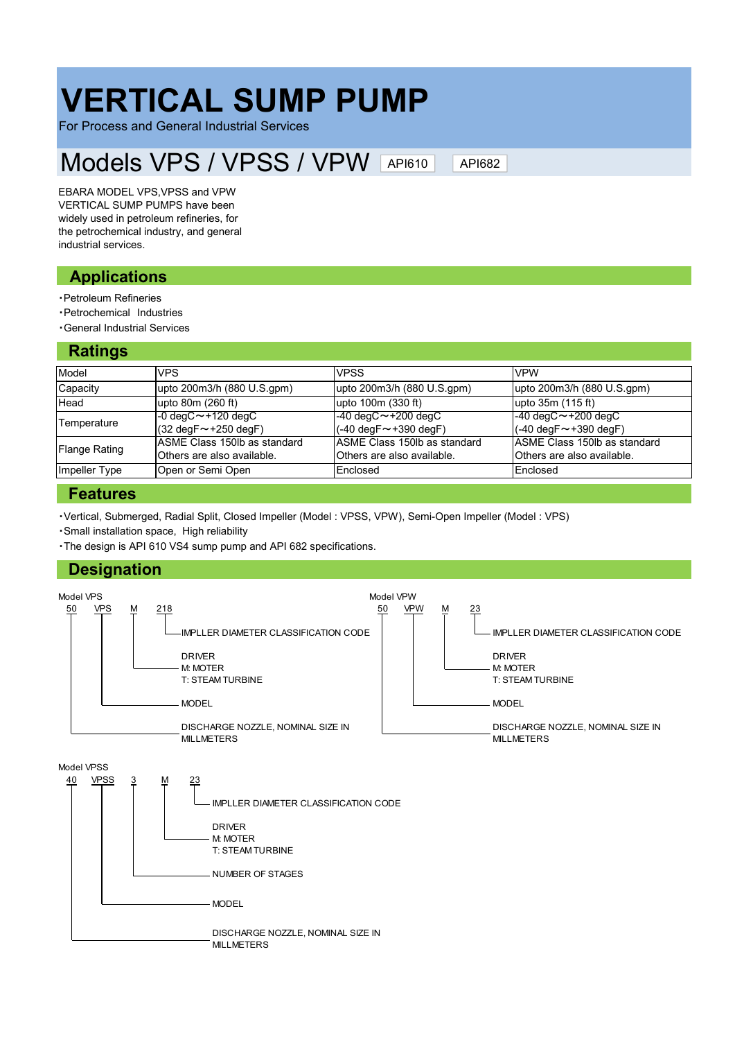# **VERTICAL SUMP PUMP**

For Process and General Industrial Services

#### Models VPS / VPSS / VPW API610

API682

EBARA MODEL VPS,VPSS and VPW VERTICAL SUMP PUMPS have been widely used in petroleum refineries, for the petrochemical industry, and general industrial services.

## **Applications**

- ・Petroleum Refineries
- ・Petrochemical Industries
- ・General Industrial Services

## **Ratings**

| ---------            |                                                            |                                                             |                                                             |
|----------------------|------------------------------------------------------------|-------------------------------------------------------------|-------------------------------------------------------------|
| Model                | <b>VPS</b>                                                 | <b>VPSS</b>                                                 | <b>VPW</b>                                                  |
| Capacity             | upto 200m3/h (880 U.S.gpm)                                 | upto 200m3/h (880 U.S.gpm)                                  | upto 200m3/h (880 U.S.gpm)                                  |
| Head                 | upto 80m (260 ft)                                          | upto 100m (330 ft)                                          | upto 35m (115 ft)                                           |
| Temperature          | $-0$ degC $\sim$ +120 degC                                 | $-40 \text{ degC} \sim +200 \text{ degC}$                   | $-40 \text{ degC} \sim +200 \text{ degC}$                   |
|                      | $(32 \text{ deg} \text{F} \sim +250 \text{ deg} \text{F})$ | $(-40 \text{ deg} \text{F} \sim +390 \text{ deg} \text{F})$ | $(-40 \text{ deg} \text{F} \sim +390 \text{ deg} \text{F})$ |
| <b>Flange Rating</b> | ASME Class 150lb as standard                               | ASME Class 150lb as standard                                | ASME Class 150lb as standard                                |
|                      | Others are also available.                                 | Others are also available.                                  | Others are also available.                                  |
| Impeller Type        | Open or Semi Open                                          | Enclosed                                                    | Enclosed                                                    |

### **Features**

・Vertical, Submerged, Radial Split, Closed Impeller (Model : VPSS, VPW), Semi-Open Impeller (Model : VPS)

・Small installation space, High reliability

・The design is API 610 VS4 sump pump and API 682 specifications.

## **Designation**

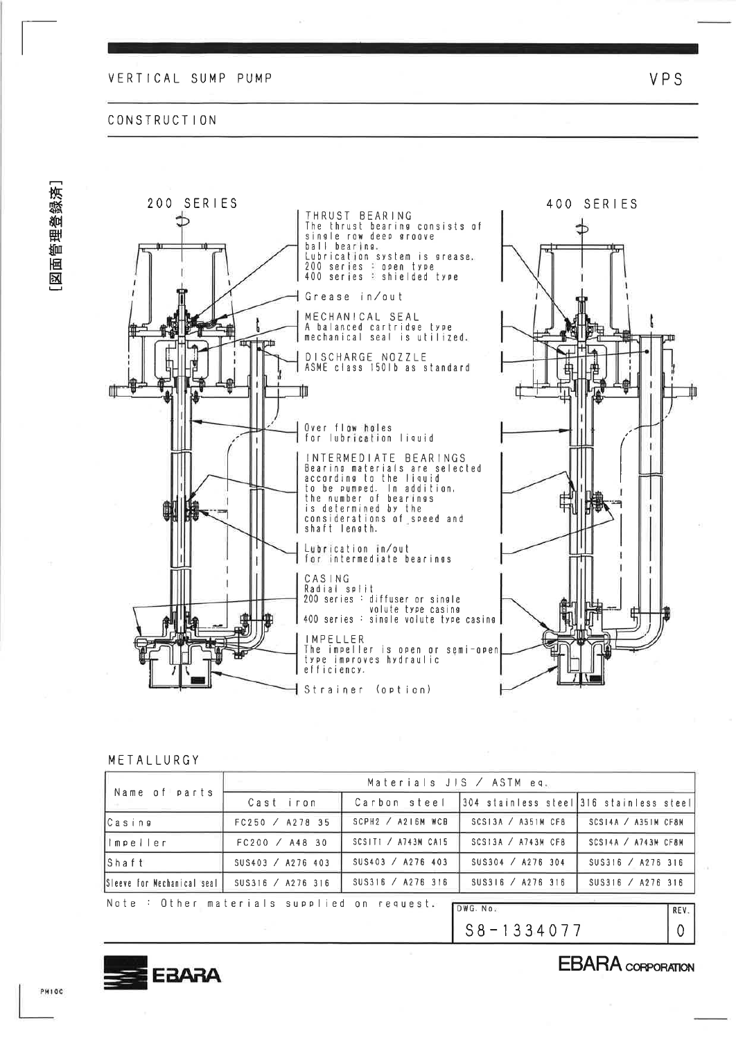#### CONSTRUCTION





#### METALLURGY

| Name of parts                              |                   | Materials JIS $/$ ASTM eq. |                                           |                            |      |
|--------------------------------------------|-------------------|----------------------------|-------------------------------------------|----------------------------|------|
|                                            | Cast iron         | Carbon steel               | [304 stainless steel]316 stainless steel] |                            |      |
| lCasing                                    | FC250 / A278 35   | $SCPH2$ / A216M WCB        | SCS13A / A351M CFA                        | SCSI4A / A351M CF8M        |      |
| impe ler                                   | FC200 / A48 30    | SCSITI / $A743M$ CA15      | SCS13A / A743M CFA                        | $SCS14A \times A743M CFBM$ |      |
| $\mathsf{IShaft}$                          | SUS403 / A276 403 | SUS403 / A276 403          | SUS304 / A276 304                         | SUS316 / A276 316          |      |
| Sleeve for Mechanical seal I               | SUS316 / A276 316 | SUS316 / A276 316          | SUS316 / A276 316                         | SUS316 / A276 316          |      |
| Note: Other materials supplied on request. |                   |                            | DWG. No.                                  |                            | REV. |
|                                            |                   |                            | $S8 - 1334077$                            |                            | 0    |



**EBARA** CORPORATION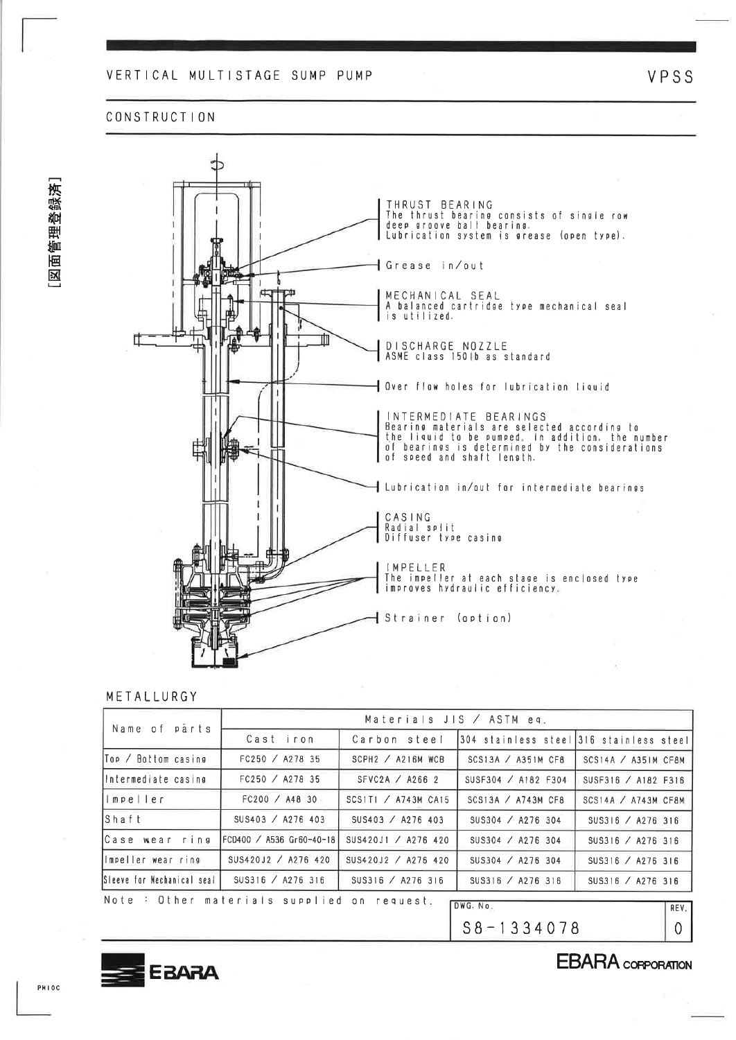#### VERTICAL MULTISTAGE SUMP PUMP

#### **CONSTRUCTION**



#### METALLURGY

| Name of parts                 |                                             | Materials JIS $/$ ASTM eq. |                                           |                            |
|-------------------------------|---------------------------------------------|----------------------------|-------------------------------------------|----------------------------|
|                               | Cast iron                                   | Carbon steel               | 1304 stainless steel1316 stainless steel1 |                            |
| Top ∕ Bottom casine           | FC250 / A278 35                             | $SCPH2$ / A216M WCB        | SCS13A / A351M CFB                        | SCS14A / A35IM CF8M        |
| lintermediate casing          | FC250 / A278 35                             | SFVC2A $\angle$ A266 2     | SUSF304 / A182 F304                       | SUSF316 / A182 F316        |
| limpeller.                    | FC200 / A48 30                              | SCS1T1 / A743M CA15        | SCS13A / $A743M$ CF8                      | $SCS14A \times A743M CF8M$ |
| lShaft                        | SUS403 / A276 403                           | SUS403 / A276 403          | SUS304 / A276 304                         | SUS316 / A276 316          |
| Case wear ring                | FCD400 / A536 Gr60-40-18                    | SUS420J1 / A276 420        | SUS304 / A276 304                         | SUS316 / A276 316          |
| limpeller wear ring           | SUS420J2 / A276 420                         | SUS420J2 / A276 420        | SUS304 / A276 304                         | SUS316 / A276 316          |
| ISleeve for Mechanical seal I | SUS316 / A276 316                           | SUS316 / A276 316          | SUS316 / A276 316                         | SUS316 / A276 316          |
|                               | Note : Other materials supplied on request. |                            | DWG. No.                                  | RFV                        |

 $S8 - 1334078$ 



VPSS



## **EBARA** CORPORATION

PMIOC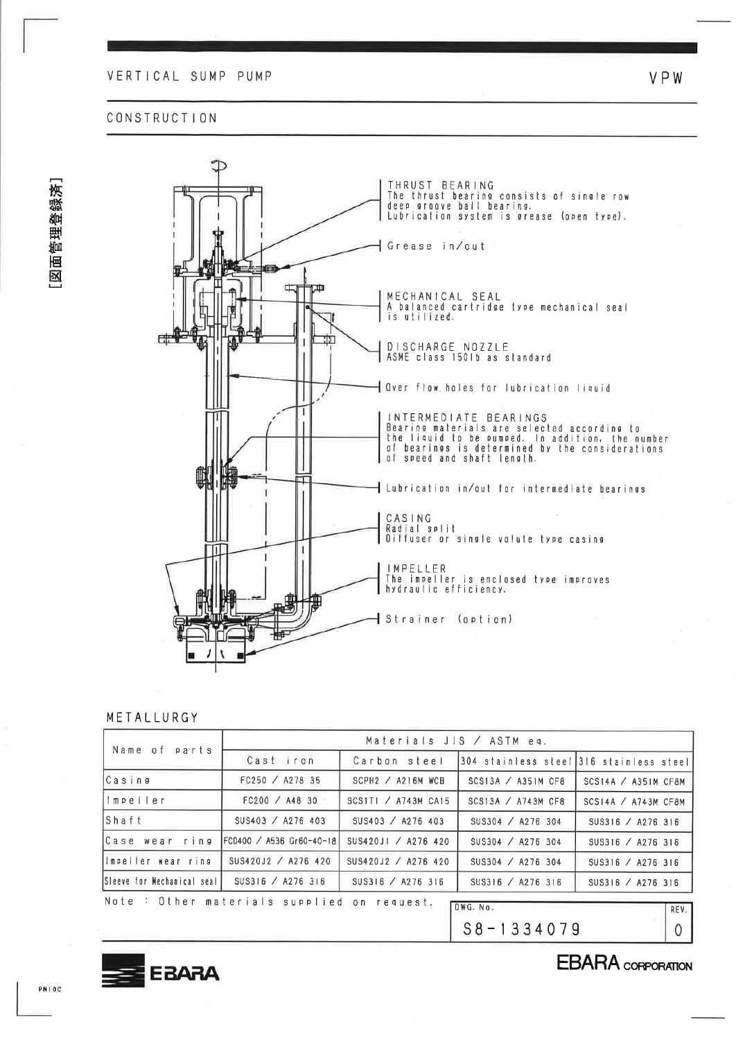#### CONSTRUCTION



#### METALLURGY

| Name of parts               |                                             | Materials JIS / ASTM eq.   |                                         |                            |         |
|-----------------------------|---------------------------------------------|----------------------------|-----------------------------------------|----------------------------|---------|
|                             | Cast iron                                   | Carbon steel               | 304 stainless steel 316 stainless steel |                            |         |
| lCasing                     | FC250 / A278 35                             | $SCPH2$ / A216M WCB        | SCS13A / A351M CFB                      | SCS14A / A35IM CF8M        |         |
| llmpeiler                   | FC200 / A48 30                              | SCS1T1 $\angle$ A743M CA15 | SCS13A / A743M CF8                      | $SCS14A \times A743M CFBM$ |         |
| İShaft                      | SUS403 / A276 403                           | SUS403 / A276 403          | SUS304 / A276 304                       | SUS316 / A276 316          |         |
| Case wear ring              | FCD400 / A536 Gr60-40-18                    | SUS420J1 / A276 420        | SUS304 / A276 304                       | SUS316 / A276 316          |         |
| limpeller wear ring         | SUS420J2 / A276 420                         | SUS420J2 / A276 420        | SUS304 / A276 304                       | SUS316 / A276 316          |         |
| Sleeve for Mechanical seall | SUS316 / A276 316                           | SUS316 / A276 316          | SUS316 / A276 316                       | SUS316 / A276 316          |         |
|                             | Note : Other materials supplied on request. |                            | DWG. No.                                |                            |         |
|                             |                                             |                            |                                         |                            | REV.    |
|                             |                                             |                            | $S8 - 1334079$                          |                            | $\circ$ |



**EBARA** CORPORATION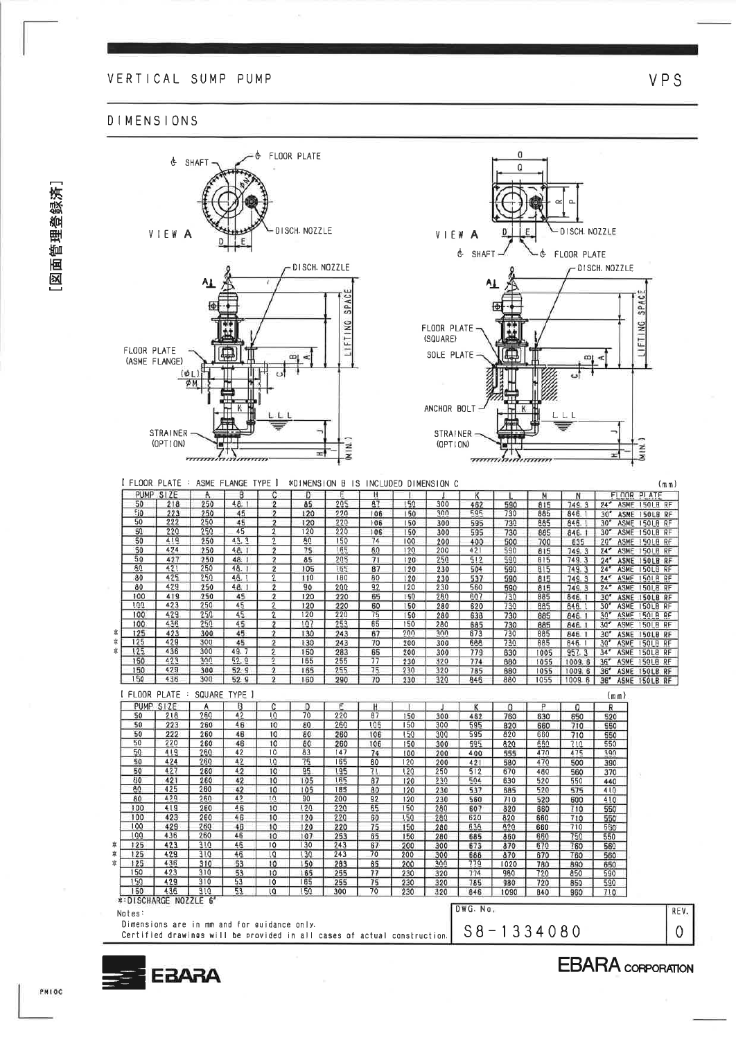#### VERTICAL SUMP PUMP

#### **DIMENSIONS**





PMIOC

図面管理登録済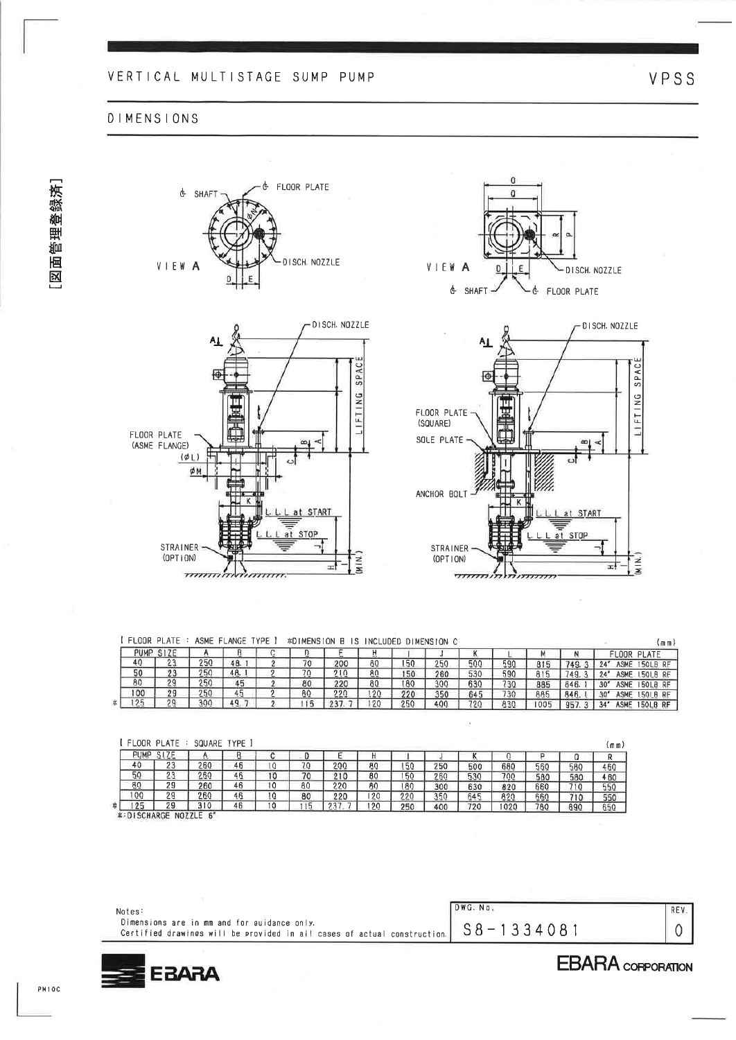## VERTICAL MULTISTAGE SUMP PUMP

& FLOOR PLATE

#### **DIMENSIONS**







| I FLOOR PLATE: ASME FLANGE TYPE I *DIMENSION B IS INCLUDED DIMENSION C |  |  |  |  |  |  |
|------------------------------------------------------------------------|--|--|--|--|--|--|
| PUMP SIZE                                                              |  |  |  |  |  |  |

imin.

궄

|    | PUMP | $T_{\text{L}}$  |     |     |                   |     |     |     |     |     |     |                |      | LOOR.<br>PLATE                                                   |
|----|------|-----------------|-----|-----|-------------------|-----|-----|-----|-----|-----|-----|----------------|------|------------------------------------------------------------------|
|    |      | <b>But they</b> | 250 | 48. | $^{\prime\prime}$ | 200 | 80  | 50  | 250 | 500 | 590 | 0 <sub>0</sub> |      | ASME<br><b>50LB</b><br>$9A$ <sup>3</sup><br><b>RF</b>            |
|    | 50   | cu.             | 250 | 48. | ה ר<br>. u        | 210 | 80  | 50  | 260 | 530 | 590 | 01C            |      | <b>ASME</b><br>150LB<br><b>RF</b>                                |
|    | 80   | - -             | 250 | 45  | 80                | 220 | 80  | 80  | 300 | 630 | 730 | 885            | 846. | 30"<br><b>ASME</b><br>I50LB RF                                   |
|    | 100  | 90<br>z a       | 250 | 45  | 80                | 220 | 120 | 220 | 350 | 645 | 730 | 885            | 846. | 30 <sup>4</sup><br><b>ASME</b><br>150L <sub>B</sub><br><b>RF</b> |
| *! | いつに  | oα              | 300 | 49. |                   |     | 12C | 250 | 400 | 720 | 830 | 1005           | 95   | 34"<br><b>ASME</b><br><b>150LB RF</b>                            |

 $\mathbf{a}$ 

|           | I FLOOR PLATE | SQUARE TYPE ) |    |                 |    |     |     |     |     |     |      |     |     | (m m ) |
|-----------|---------------|---------------|----|-----------------|----|-----|-----|-----|-----|-----|------|-----|-----|--------|
| PUMP SIZE |               |               | в  |                 |    |     |     |     |     |     |      |     |     |        |
| 40        | 23            | 260           | 46 | 10              | 70 | 200 | 80  | 50  | 250 | 500 | 680  | 560 | 580 | 460    |
| 50        | 23            | 260           | 46 | 10 <sup>°</sup> | 70 | 210 | 80  | 50  | 260 | 530 | 700  | 580 | 580 | 460    |
| 80        | 29            | 260           | 46 | 10              | 80 | 220 | 80  | 80  | 300 | 630 | 820  | 660 | 710 | 550    |
| 100       | 29            | 260           | 46 | 10              | 80 | 220 | 120 | 220 | 350 | 645 | 820  | 660 | 710 | 550    |
| 125       | 29            | 310           | 46 | 10              |    | クマフ | 120 | 250 | 400 | 720 | 1020 | 780 | 890 | 650    |

| Notes:                                                                                                                                                     | DWG. No. | REV- |
|------------------------------------------------------------------------------------------------------------------------------------------------------------|----------|------|
| Dimensions are in mm and for guidance only.<br>Ce <u>rtified drawines will be provided in all c</u> ases of actual construction.  $S\,8$ $-$ 1 3 3 4 0 8 1 |          |      |



霖

STRAINER

 $(OPT | ON)$ 

 $7777$ 

 $(mm)$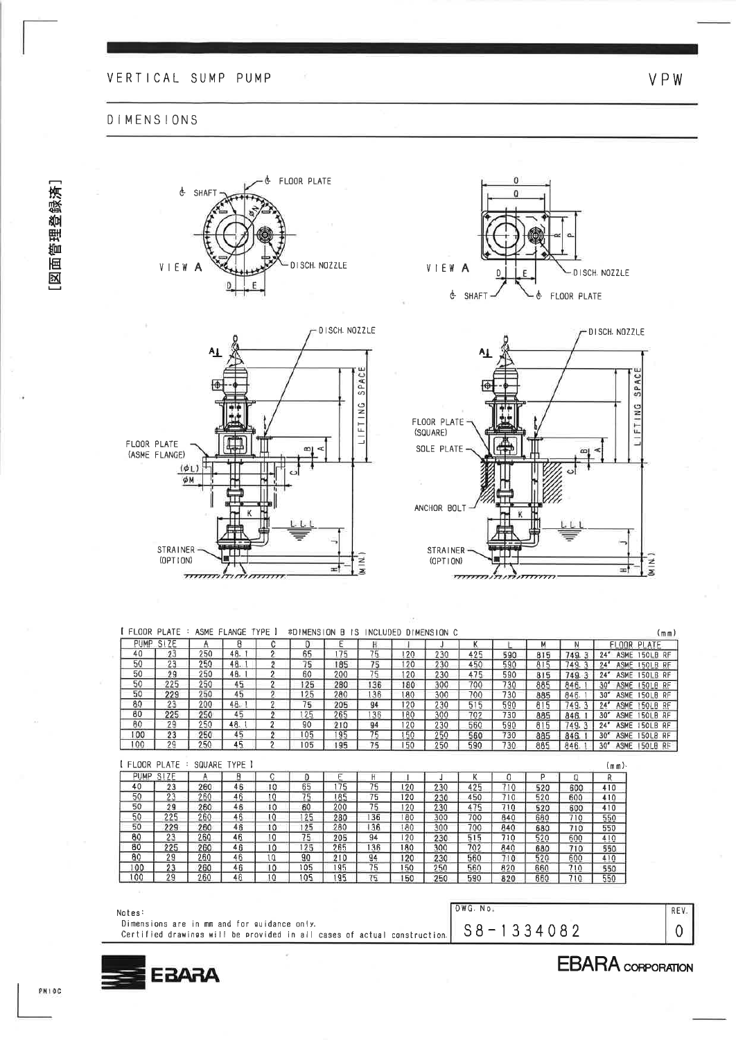### **DIMENSIONS**







VPW



| FLOOR PLATE                             |       | м   |     |     |     |     |     |     |     |                | R   |     | SIZE | PUMP. |
|-----------------------------------------|-------|-----|-----|-----|-----|-----|-----|-----|-----|----------------|-----|-----|------|-------|
| 24"<br>ASME<br>150LB RF                 | 749.  | 815 | 590 | 425 | 230 | 120 | 75  | 175 | 65  |                | 48. | 250 | 23   | 40    |
| ASME 150LB RF<br>24"                    | 749.3 | 815 | 590 | 450 | 230 | 20  | 75  | 185 | 75  |                | 48. | 250 | 23   | 50    |
| 24"<br>ASME<br>150LB RF                 | 749.3 | 815 | 590 | 475 | 230 | 20  | 75  | 200 | 60  | 0              | 48. | 250 | 29   | 50    |
| 30''<br>ASME<br><b>ISOLB RF</b>         | 846.  | 885 | 730 | 700 | 300 | 180 | 136 | 280 | 125 | റ              | 45  | 250 | 225  | 50    |
| 30"<br>ASME<br>150LB RF                 | 846.  | 885 | 730 | 700 | 300 | 180 | 136 | 280 | 125 | $\overline{2}$ | 45  | 250 | 229  | 50    |
| 24''<br><b>ASME</b><br>150LB RF         | 749.3 | 815 | 590 | 515 | 230 | 120 | 94  | 205 | 75  | 0              | 48. | 200 | 23   | 80    |
| $30^{\circ}$<br><b>ASME</b><br>150LB RF | 846.  | 885 | 730 | 702 | 300 | 180 | 36  | 265 | 125 | 2              | 45  | 250 | 225  | 80    |
| 24"<br><b>ASME</b><br>150LB RF          | 749.3 | 815 | 590 | 560 | 230 | 20  | 94  | 210 | 90  | o              | 48. | 250 | 29   | 80    |
| 30 <sup>r</sup><br>ASME 150LB RF        | 846.  | 885 | 730 | 560 | 250 | 50  | 75  | 195 | 105 | $\overline{2}$ | 45  | 250 | 23   | 00    |
| 30 <sup>''</sup><br>ASME 150LB RF       | 846.  | 885 | 730 | 590 | 250 | 150 | 75  | 195 | 105 | o              | 45  | 250 | 29   | 100   |

PUMP  $SIZE$  $\overline{0}$  $\overline{R}$  $\overline{A}$  $\overline{B}$  $\overline{c}$ E K  $\Omega$  $\overline{P}$  $\Box$ J  $\overline{75}$  $\frac{23}{29}$ <br> $\frac{225}{229}$  $\frac{260}{260}$  $\frac{520}{520}$  $\overline{75}$  $rac{50}{50}$  $\overline{75}$  $\frac{260}{260}$  $\frac{125}{125}$  $\frac{50}{80}$  $\frac{280}{205}$  $\frac{300}{230}$  $\frac{260}{260}$  $\frac{75}{125}$  $\frac{10}{10}$  $\frac{410}{550}$  $\begin{array}{@{}c@{\hspace{1em}}c@{\hspace{1em}}c@{\hspace{1em}}}\n \hline\n 225 \\
\hline\n 225 \\
\hline\n 29 \\
\hline\n 23 \\
\hline\n 29\n \end{array}$  $\frac{136}{94}$   $\frac{75}{75}$  $\frac{265}{210}$  $\frac{300}{230}$  $\frac{560}{560}$  $\frac{410}{550}$  $rac{10}{10}$  $\frac{105}{105}$  $\frac{150}{150}$  $\frac{250}{250}$  $\frac{820}{820}$  $\frac{710}{710}$ 

| Notes:                                                                                                                  | DWG. No.          |  |
|-------------------------------------------------------------------------------------------------------------------------|-------------------|--|
| Dimensions are in mm and for guidance only.<br>Certified drawings will be provided in all cases of actual construction. | 3 - 1 3 3 4 0 8 2 |  |